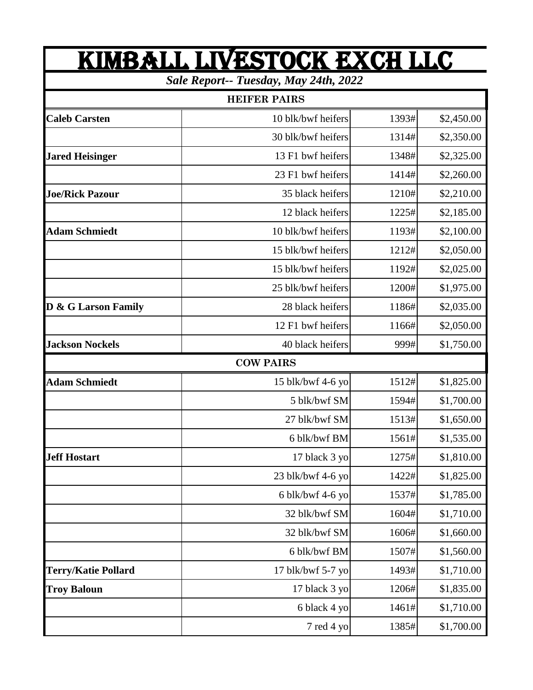## KIMBALL LIVESTOCK EXch LLC

*Sale Report-- Tuesday, May 24th, 2022*

| <b>HEIFER PAIRS</b>    |                    |       |            |  |
|------------------------|--------------------|-------|------------|--|
| <b>Caleb Carsten</b>   | 10 blk/bwf heifers | 1393# | \$2,450.00 |  |
|                        | 30 blk/bwf heifers | 1314# | \$2,350.00 |  |
| <b>Jared Heisinger</b> | 13 F1 bwf heifers  | 1348# | \$2,325.00 |  |
|                        | 23 F1 bwf heifers  | 1414# | \$2,260.00 |  |
| <b>Joe/Rick Pazour</b> | 35 black heifers   | 1210# | \$2,210.00 |  |
|                        | 12 black heifers   | 1225# | \$2,185.00 |  |
| <b>Adam Schmiedt</b>   | 10 blk/bwf heifers | 1193# | \$2,100.00 |  |
|                        | 15 blk/bwf heifers | 1212# | \$2,050.00 |  |
|                        | 15 blk/bwf heifers | 1192# | \$2,025.00 |  |
|                        | 25 blk/bwf heifers | 1200# | \$1,975.00 |  |
| D & G Larson Family    | 28 black heifers   | 1186# | \$2,035.00 |  |
|                        | 12 F1 bwf heifers  | 1166# | \$2,050.00 |  |
| <b>Jackson Nockels</b> | 40 black heifers   | 999#  | \$1,750.00 |  |
|                        | <b>COW PAIRS</b>   |       |            |  |
| <b>Adam Schmiedt</b>   | 15 blk/bwf 4-6 yo  | 1512# | \$1,825.00 |  |
|                        | 5 blk/bwf SM       | 1594# | \$1,700.00 |  |
|                        | 27 blk/bwf SM      | 1513# | \$1,650.00 |  |
|                        | 6 blk/bwf BM       | 1561# | \$1,535.00 |  |
| <b>Jeff Hostart</b>    | 17 black 3 yo      | 1275# | \$1,810.00 |  |
|                        | 23 blk/bwf 4-6 yo  | 1422# | \$1,825.00 |  |
|                        | 6 blk/bwf 4-6 yo   | 1537# | \$1,785.00 |  |
|                        | 32 blk/bwf SM      | 1604# | \$1,710.00 |  |
|                        | 32 blk/bwf SM      | 1606# | \$1,660.00 |  |
|                        | 6 blk/bwf BM       | 1507# | \$1,560.00 |  |
| Terry/Katie Pollard    | 17 blk/bwf 5-7 yo  | 1493# | \$1,710.00 |  |
| <b>Troy Baloun</b>     | 17 black 3 yo      | 1206# | \$1,835.00 |  |
|                        | 6 black 4 yo       | 1461# | \$1,710.00 |  |
|                        | 7 red 4 yo         | 1385# | \$1,700.00 |  |